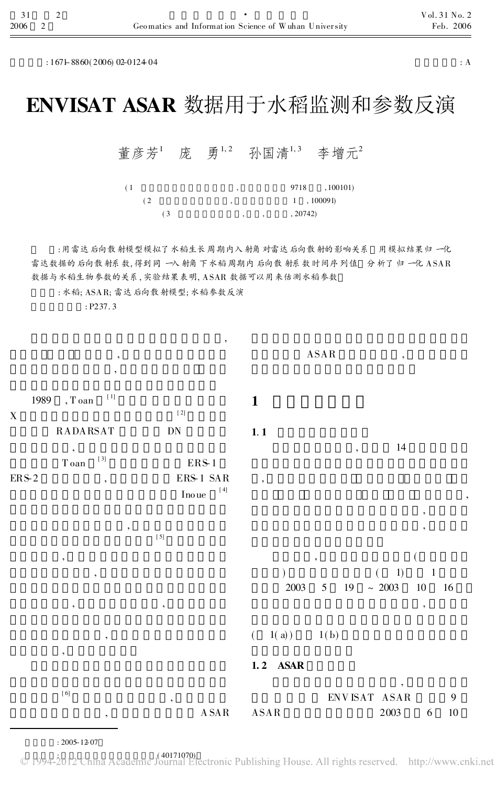$: 167 + 8860(2006) 02 - 012404$  : A

,

## ENVISAT ASAR 数据用于水稻监测和参数反演

董彦芳<sup>1</sup> 庞 勇<sup>1,2</sup> 孙国清<sup>1,3</sup> 李增元<sup>2</sup>

| (1) | ٠      | , 100101)<br>9718 |
|-----|--------|-------------------|
| (2) | ٠      | 1, 100091         |
| (3  | ٠<br>٠ | , 20742)          |

: 用雷达后向散射模型模拟了水稻生长周期内入射角对雷达后向散射的影响关系 用模拟结果归一化 雷达数据的后向散射系数, 得到同一入射角下水稻周期内后向散射系数时间序列值 分析了归一化 ASAR 数据与水稻生物参数的关系, 实验结果表明, ASAR 数据可以用来估测水稻参数

ASAR ,

,

: 水稻; ASAR; 雷达后向散射模型; 水稻参数反演

: P237. 3

, ,

1989 , T oan [ 1] X [ 2] RADARSAT DN , T oan [ 3] ERS-1 ERS-2 ERS-1 SAR Ino ue [ 4] , [ 5] , , , where  $\,$ , , [ 6] , , A SAR 1 1. 1 , 14 , , , ,  $\hspace{1.6cm}$  $(1)$  1 2003 5 19 ~ 2003 10 16 ,  $(1(a))$   $1(b)$ 1. 2 ASAR , ENVISAT ASAR 9 ASAR 2003 6 10

: 2005-12-07

© 1994-2012 China Academic J<sup>40171070</sup> electronic Publishing House. All rights reserved. http://www.cnki.net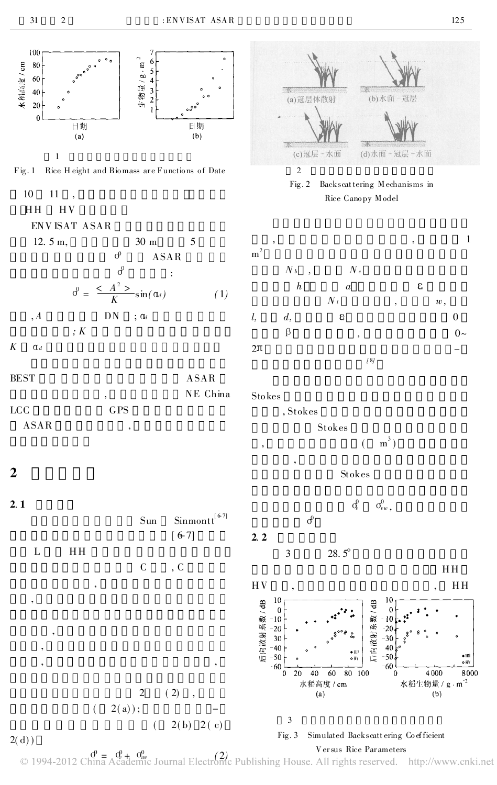



 $2(d)$ )

Versus Rice Parameters  $\mathcal{O}_1$  1994-2012 China Academic Journal Electronic Publishing House. All rights reserved. http://www.cnki.net

 $2(b) 2(c)$ 

 $\overline{(\ }$ 

3

 $Fig. 3$ 

Simulated Backscattering Coefficient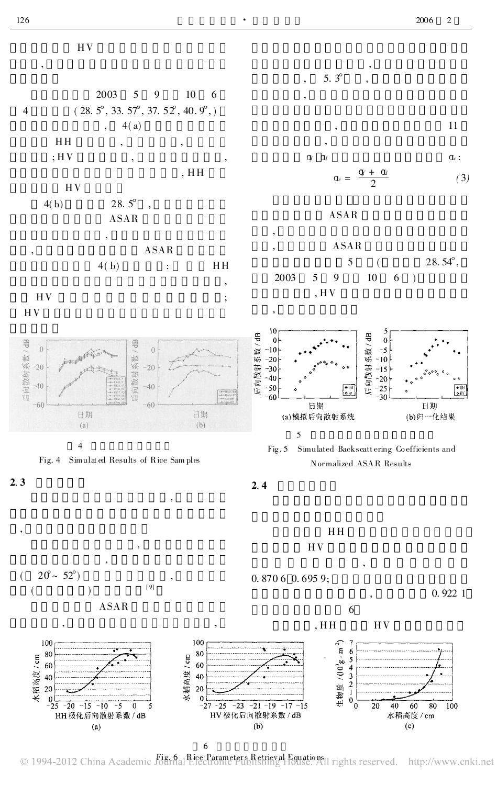

2. 3

,



,

,

HH HV



© 1994-2012 China Academic Fig. 6 Rice Parameters Retrieval Equations 1 rights reserved. http://www.cnki.net